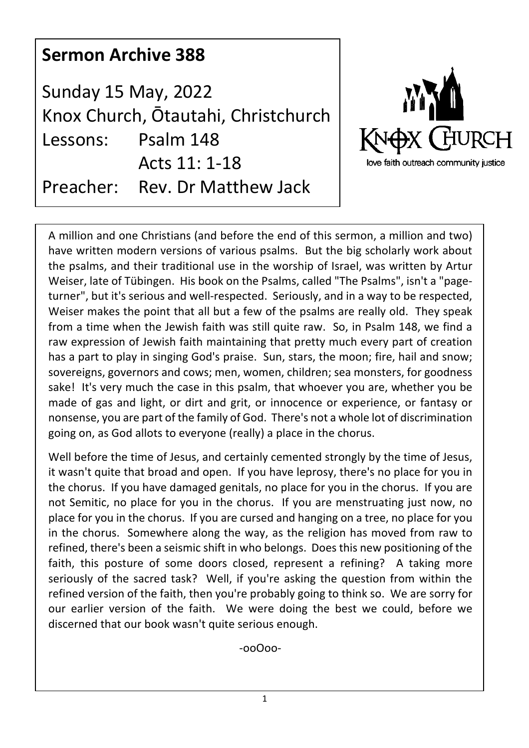| <b>Sermon Archive 388</b>                                         |                             |                                                      |
|-------------------------------------------------------------------|-----------------------------|------------------------------------------------------|
| <b>Sunday 15 May, 2022</b><br>Knox Church, Ōtautahi, Christchurch |                             | MAG                                                  |
| Lessons:                                                          | Psalm 148<br>Acts 11: 1-18  | KNOX CHURCH<br>love faith outreach community justice |
| Preacher:                                                         | <b>Rev. Dr Matthew Jack</b> |                                                      |

A million and one Christians (and before the end of this sermon, a million and two) have written modern versions of various psalms. But the big scholarly work about the psalms, and their traditional use in the worship of Israel, was written by Artur Weiser, late of Tübingen. His book on the Psalms, called "The Psalms", isn't a "pageturner", but it's serious and well-respected. Seriously, and in a way to be respected, Weiser makes the point that all but a few of the psalms are really old. They speak from a time when the Jewish faith was still quite raw. So, in Psalm 148, we find a raw expression of Jewish faith maintaining that pretty much every part of creation has a part to play in singing God's praise. Sun, stars, the moon; fire, hail and snow; sovereigns, governors and cows; men, women, children; sea monsters, for goodness sake! It's very much the case in this psalm, that whoever you are, whether you be made of gas and light, or dirt and grit, or innocence or experience, or fantasy or nonsense, you are part of the family of God. There's not a whole lot of discrimination going on, as God allots to everyone (really) a place in the chorus.

Well before the time of Jesus, and certainly cemented strongly by the time of Jesus, it wasn't quite that broad and open. If you have leprosy, there's no place for you in the chorus. If you have damaged genitals, no place for you in the chorus. If you are not Semitic, no place for you in the chorus. If you are menstruating just now, no place for you in the chorus. If you are cursed and hanging on a tree, no place for you in the chorus. Somewhere along the way, as the religion has moved from raw to refined, there's been a seismic shift in who belongs. Does this new positioning of the faith, this posture of some doors closed, represent a refining? A taking more seriously of the sacred task? Well, if you're asking the question from within the refined version of the faith, then you're probably going to think so. We are sorry for our earlier version of the faith. We were doing the best we could, before we discerned that our book wasn't quite serious enough.

-ooOoo-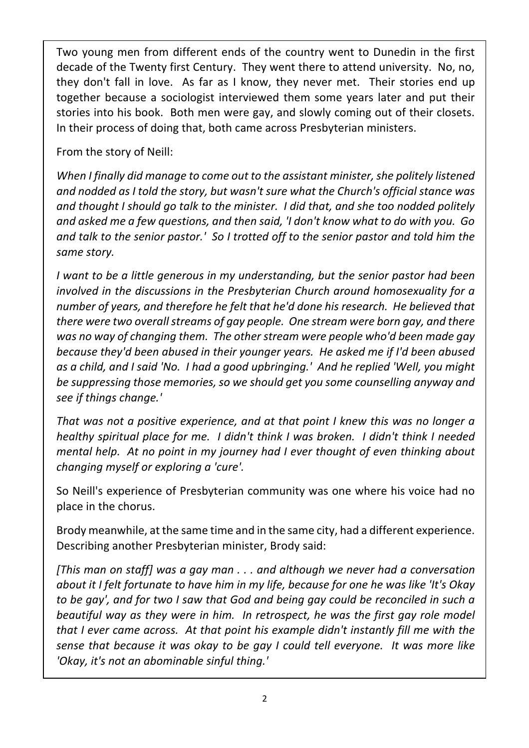Two young men from different ends of the country went to Dunedin in the first decade of the Twenty first Century. They went there to attend university. No, no, they don't fall in love. As far as I know, they never met. Their stories end up together because a sociologist interviewed them some years later and put their stories into his book. Both men were gay, and slowly coming out of their closets. In their process of doing that, both came across Presbyterian ministers.

From the story of Neill:

*When I finally did manage to come out to the assistant minister, she politely listened and nodded as I told the story, but wasn't sure what the Church's official stance was and thought I should go talk to the minister. I did that, and she too nodded politely and asked me a few questions, and then said, 'I don't know what to do with you. Go and talk to the senior pastor.' So I trotted off to the senior pastor and told him the same story.*

*I want to be a little generous in my understanding, but the senior pastor had been involved in the discussions in the Presbyterian Church around homosexuality for a number of years, and therefore he felt that he'd done his research. He believed that there were two overall streams of gay people. One stream were born gay, and there was no way of changing them. The other stream were people who'd been made gay because they'd been abused in their younger years. He asked me if I'd been abused as a child, and I said 'No. I had a good upbringing.' And he replied 'Well, you might be suppressing those memories, so we should get you some counselling anyway and see if things change.'*

*That was not a positive experience, and at that point I knew this was no longer a healthy spiritual place for me. I didn't think I was broken. I didn't think I needed mental help. At no point in my journey had I ever thought of even thinking about changing myself or exploring a 'cure'.*

So Neill's experience of Presbyterian community was one where his voice had no place in the chorus.

Brody meanwhile, at the same time and in the same city, had a different experience. Describing another Presbyterian minister, Brody said:

*[This man on staff] was a gay man . . . and although we never had a conversation about it I felt fortunate to have him in my life, because for one he was like 'It's Okay to be gay', and for two I saw that God and being gay could be reconciled in such a beautiful way as they were in him. In retrospect, he was the first gay role model that I ever came across. At that point his example didn't instantly fill me with the sense that because it was okay to be gay I could tell everyone. It was more like 'Okay, it's not an abominable sinful thing.'*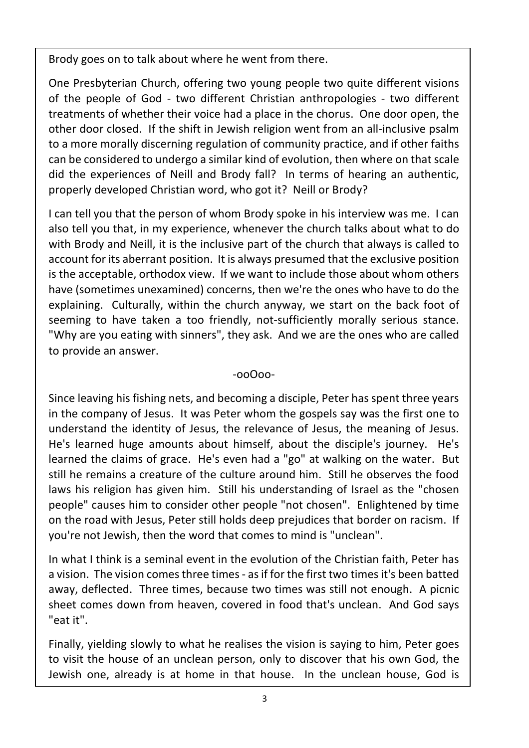Brody goes on to talk about where he went from there.

One Presbyterian Church, offering two young people two quite different visions of the people of God - two different Christian anthropologies - two different treatments of whether their voice had a place in the chorus. One door open, the other door closed. If the shift in Jewish religion went from an all-inclusive psalm to a more morally discerning regulation of community practice, and if other faiths can be considered to undergo a similar kind of evolution, then where on that scale did the experiences of Neill and Brody fall? In terms of hearing an authentic, properly developed Christian word, who got it? Neill or Brody?

I can tell you that the person of whom Brody spoke in his interview was me. I can also tell you that, in my experience, whenever the church talks about what to do with Brody and Neill, it is the inclusive part of the church that always is called to account for its aberrant position. It is always presumed that the exclusive position is the acceptable, orthodox view. If we want to include those about whom others have (sometimes unexamined) concerns, then we're the ones who have to do the explaining. Culturally, within the church anyway, we start on the back foot of seeming to have taken a too friendly, not-sufficiently morally serious stance. "Why are you eating with sinners", they ask. And we are the ones who are called to provide an answer.

## -ooOoo-

Since leaving his fishing nets, and becoming a disciple, Peter has spent three years in the company of Jesus. It was Peter whom the gospels say was the first one to understand the identity of Jesus, the relevance of Jesus, the meaning of Jesus. He's learned huge amounts about himself, about the disciple's journey. He's learned the claims of grace. He's even had a "go" at walking on the water. But still he remains a creature of the culture around him. Still he observes the food laws his religion has given him. Still his understanding of Israel as the "chosen people" causes him to consider other people "not chosen". Enlightened by time on the road with Jesus, Peter still holds deep prejudices that border on racism. If you're not Jewish, then the word that comes to mind is "unclean".

In what I think is a seminal event in the evolution of the Christian faith, Peter has a vision. The vision comes three times - as if for the first two times it's been batted away, deflected. Three times, because two times was still not enough. A picnic sheet comes down from heaven, covered in food that's unclean. And God says "eat it".

Finally, yielding slowly to what he realises the vision is saying to him, Peter goes to visit the house of an unclean person, only to discover that his own God, the Jewish one, already is at home in that house. In the unclean house, God is